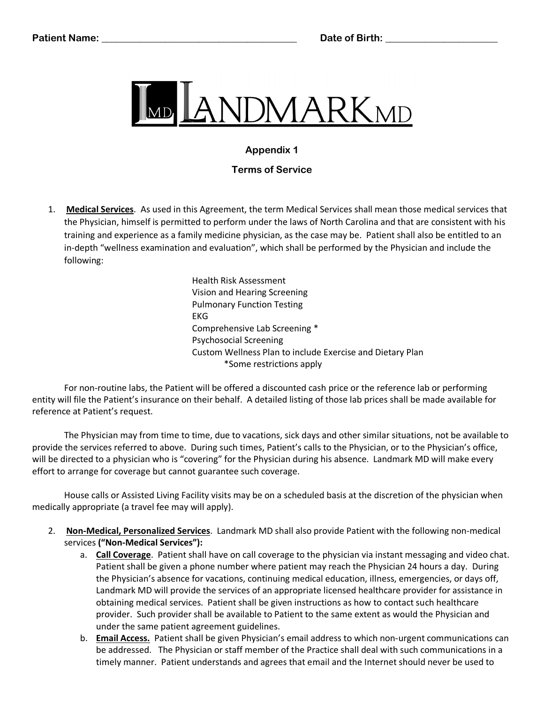

## **Appendix 1**

## **Terms of Service**

1. **Medical Services**. As used in this Agreement, the term Medical Services shall mean those medical services that the Physician, himself is permitted to perform under the laws of North Carolina and that are consistent with his training and experience as a family medicine physician, as the case may be. Patient shall also be entitled to an in-depth "wellness examination and evaluation", which shall be performed by the Physician and include the following:

> Health Risk Assessment Vision and Hearing Screening Pulmonary Function Testing EKG Comprehensive Lab Screening \* Psychosocial Screening Custom Wellness Plan to include Exercise and Dietary Plan \*Some restrictions apply

For non-routine labs, the Patient will be offered a discounted cash price or the reference lab or performing entity will file the Patient's insurance on their behalf. A detailed listing of those lab prices shall be made available for reference at Patient's request.

The Physician may from time to time, due to vacations, sick days and other similar situations, not be available to provide the services referred to above. During such times, Patient's calls to the Physician, or to the Physician's office, will be directed to a physician who is "covering" for the Physician during his absence. Landmark MD will make every effort to arrange for coverage but cannot guarantee such coverage.

House calls or Assisted Living Facility visits may be on a scheduled basis at the discretion of the physician when medically appropriate (a travel fee may will apply).

- 2. **Non-Medical, Personalized Services**. Landmark MD shall also provide Patient with the following non-medical services **("Non-Medical Services"):**
	- a. **Call Coverage**. Patient shall have on call coverage to the physician via instant messaging and video chat. Patient shall be given a phone number where patient may reach the Physician 24 hours a day. During the Physician's absence for vacations, continuing medical education, illness, emergencies, or days off, Landmark MD will provide the services of an appropriate licensed healthcare provider for assistance in obtaining medical services. Patient shall be given instructions as how to contact such healthcare provider. Such provider shall be available to Patient to the same extent as would the Physician and under the same patient agreement guidelines.
	- b. **Email Access.** Patient shall be given Physician's email address to which non-urgent communications can be addressed. The Physician or staff member of the Practice shall deal with such communications in a timely manner. Patient understands and agrees that email and the Internet should never be used to